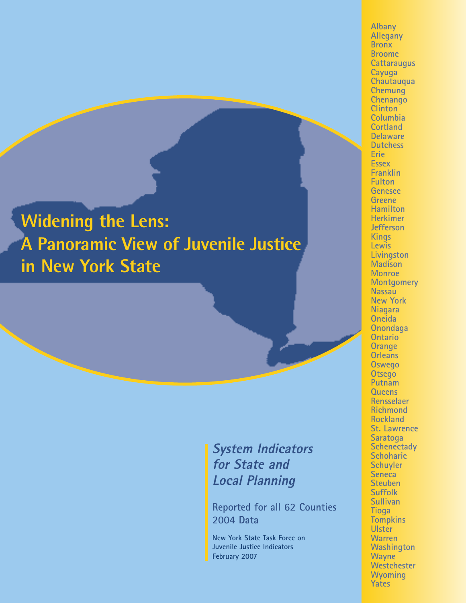# **Widening the Lens: A Panoramic View of Juvenile Justice in New York State**

## **System Indicators for State and Local Planning**

**Reported for all 62 Counties 2004 Data**

**New York State Task Force on Juvenile Justice Indicators February 2007**

**Albany Allegany Bronx Broome Cattaraugus Cayuga Chautauqua Chemung Chenango Clinton Columbia Cortland Delaware Dutchess Erie Essex Franklin Fulton Genesee Greene Hamilton Herkimer Jefferson Kings Lewis Livingston Madison Monroe Montgomery Nassau New York Niagara Oneida Onondaga Ontario Orange Orleans Oswego Otsego Putnam Queens Rensselaer Richmond Rockland St. Lawrence Saratoga Schenectady Schoharie Schuyler Seneca Steuben Suffolk Sullivan Tioga Tompkins Ulster Warren Washington Wayne Westchester Wyoming Yates**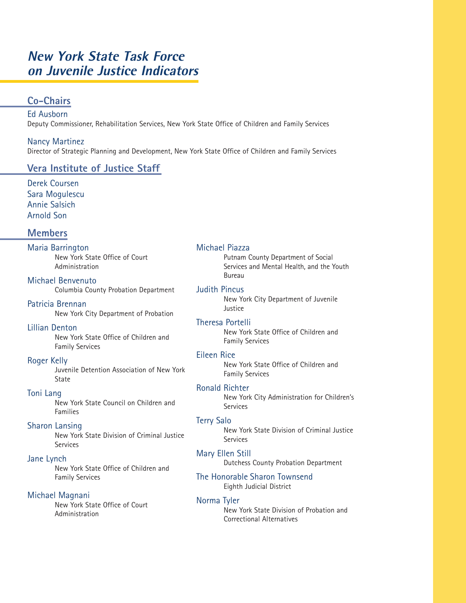## **New York State Task Force on Juvenile Justice Indicators**

### **Co-Chairs**

Ed Ausborn Deputy Commissioner, Rehabilitation Services, New York State Office of Children and Family Services

Nancy Martinez Director of Strategic Planning and Development, New York State Office of Children and Family Services

### **Vera Institute of Justice Staff**

Derek Coursen Sara Mogulescu Annie Salsich Arnold Son

### **Members**

Maria Barrington New York State Office of Court Administration

Michael Benvenuto Columbia County Probation Department

Patricia Brennan New York City Department of Probation

Lillian Denton New York State Office of Children and Family Services

### Roger Kelly

Juvenile Detention Association of New York State

### Toni Lang

New York State Council on Children and Families

### Sharon Lansing

New York State Division of Criminal Justice Services

### Jane Lynch

New York State Office of Children and Family Services

### Michael Magnani

New York State Office of Court Administration

### Michael Piazza

Putnam County Department of Social Services and Mental Health, and the Youth Bureau

### Judith Pincus

New York City Department of Juvenile Justice

### Theresa Portelli

New York State Office of Children and Family Services

### Eileen Rice

New York State Office of Children and Family Services

### Ronald Richter

New York City Administration for Children's Services

### Terry Salo

New York State Division of Criminal Justice Services

Mary Ellen Still Dutchess County Probation Department

### The Honorable Sharon Townsend Eighth Judicial District

### Norma Tyler

New York State Division of Probation and Correctional Alternatives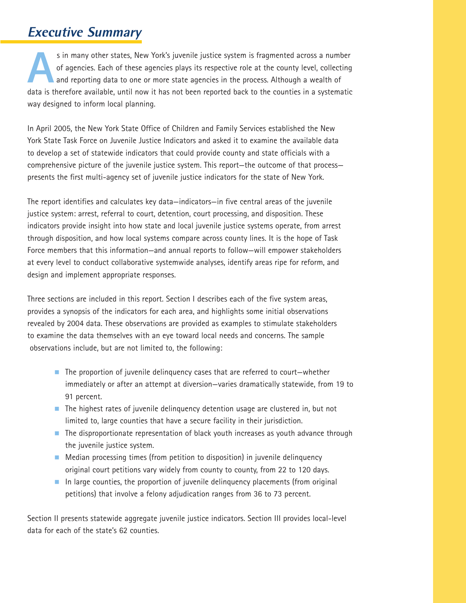## **Executive Summary**

S in many other states, New York's juvenile justice system is fragmented across a number<br>of agencies. Each of these agencies plays its respective role at the county level, collecting<br>and reporting data to one or more state of agencies. Each of these agencies plays its respective role at the county level, collecting and reporting data to one or more state agencies in the process. Although a wealth of data is therefore available, until now it has not been reported back to the counties in a systematic way designed to inform local planning.

In April 2005, the New York State Office of Children and Family Services established the New York State Task Force on Juvenile Justice Indicators and asked it to examine the available data to develop a set of statewide indicators that could provide county and state officials with a comprehensive picture of the juvenile justice system. This report—the outcome of that process presents the first multi-agency set of juvenile justice indicators for the state of New York.

The report identifies and calculates key data—indicators—in five central areas of the juvenile justice system: arrest, referral to court, detention, court processing, and disposition. These indicators provide insight into how state and local juvenile justice systems operate, from arrest through disposition, and how local systems compare across county lines. It is the hope of Task Force members that this information—and annual reports to follow—will empower stakeholders at every level to conduct collaborative systemwide analyses, identify areas ripe for reform, and design and implement appropriate responses.

Three sections are included in this report. Section I describes each of the five system areas, provides a synopsis of the indicators for each area, and highlights some initial observations revealed by 2004 data. These observations are provided as examples to stimulate stakeholders to examine the data themselves with an eye toward local needs and concerns. The sample observations include, but are not limited to, the following:

- The proportion of juvenile delinquency cases that are referred to court—whether immediately or after an attempt at diversion—varies dramatically statewide, from 19 to 91 percent.
- $\blacksquare$  The highest rates of juvenile delinquency detention usage are clustered in, but not limited to, large counties that have a secure facility in their jurisdiction.
- $\blacksquare$  The disproportionate representation of black youth increases as youth advance through the juvenile justice system.
- $\blacksquare$  Median processing times (from petition to disposition) in juvenile delinquency original court petitions vary widely from county to county, from 22 to 120 days.
- $\blacksquare$  In large counties, the proportion of juvenile delinguency placements (from original petitions) that involve a felony adjudication ranges from 36 to 73 percent.

Section II presents statewide aggregate juvenile justice indicators. Section III provides local-level data for each of the state's 62 counties.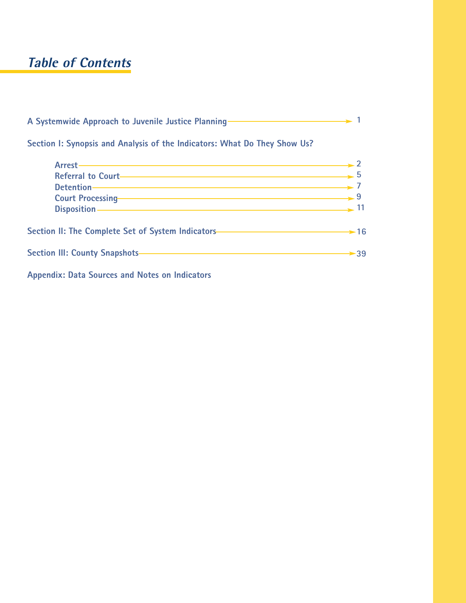## **Table of Contents**

| A Systemwide Approach to Juvenile Justice Planning-                       |                          |
|---------------------------------------------------------------------------|--------------------------|
| Section I: Synopsis and Analysis of the Indicators: What Do They Show Us? |                          |
| Arrest                                                                    |                          |
| <b>Referral to Court-</b>                                                 |                          |
| <u> 1989 - Johann Barbara, martxa alemaniar arg</u><br>Detention          |                          |
| <b>Court Processing</b>                                                   | 9                        |
| <b>Disposition</b>                                                        |                          |
| Section II: The Complete Set of System Indicators-                        | $\blacktriangleright$ 16 |
| <b>Section III: County Snapshots-</b>                                     | $\blacktriangleright$ 39 |

**Appendix: Data Sources and Notes on Indicators**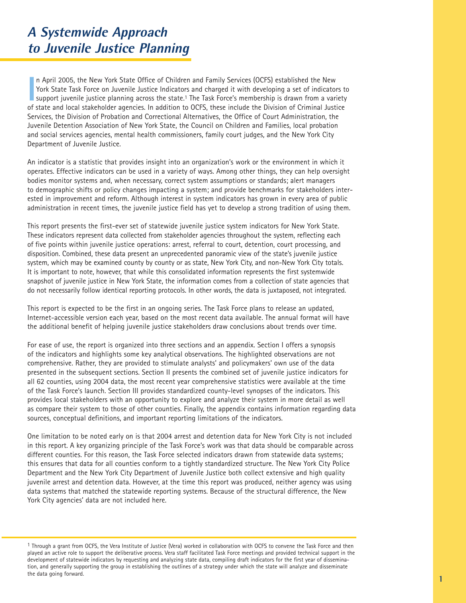## **A Systemwide Approach to Juvenile Justice Planning**

In April 2005, the New York State Office of Children and Family Services (OCFS) established the New York State Task Force on Juvenile Justice Indicators and charged it with developing a set of indicators to support juvenil n April 2005, the New York State Office of Children and Family Services (OCFS) established the New York State Task Force on Juvenile Justice Indicators and charged it with developing a set of indicators to support juvenile justice planning across the state.<sup>1</sup> The Task Force's membership is drawn from a variety Services, the Division of Probation and Correctional Alternatives, the Office of Court Administration, the Juvenile Detention Association of New York State, the Council on Children and Families, local probation and social services agencies, mental health commissioners, family court judges, and the New York City Department of Juvenile Justice.

An indicator is a statistic that provides insight into an organization's work or the environment in which it operates. Effective indicators can be used in a variety of ways. Among other things, they can help oversight bodies monitor systems and, when necessary, correct system assumptions or standards; alert managers to demographic shifts or policy changes impacting a system; and provide benchmarks for stakeholders interested in improvement and reform. Although interest in system indicators has grown in every area of public administration in recent times, the juvenile justice field has yet to develop a strong tradition of using them.

This report presents the first-ever set of statewide juvenile justice system indicators for New York State. These indicators represent data collected from stakeholder agencies throughout the system, reflecting each of five points within juvenile justice operations: arrest, referral to court, detention, court processing, and disposition. Combined, these data present an unprecedented panoramic view of the state's juvenile justice system, which may be examined county by county or as state, New York City, and non-New York City totals. It is important to note, however, that while this consolidated information represents the first systemwide snapshot of juvenile justice in New York State, the information comes from a collection of state agencies that do not necessarily follow identical reporting protocols. In other words, the data is juxtaposed, not integrated.

This report is expected to be the first in an ongoing series. The Task Force plans to release an updated, Internet-accessible version each year, based on the most recent data available. The annual format will have the additional benefit of helping juvenile justice stakeholders draw conclusions about trends over time.

For ease of use, the report is organized into three sections and an appendix. Section I offers a synopsis of the indicators and highlights some key analytical observations. The highlighted observations are not comprehensive. Rather, they are provided to stimulate analysts' and policymakers' own use of the data presented in the subsequent sections. Section II presents the combined set of juvenile justice indicators for all 62 counties, using 2004 data, the most recent year comprehensive statistics were available at the time of the Task Force's launch. Section III provides standardized county-level synopses of the indicators. This provides local stakeholders with an opportunity to explore and analyze their system in more detail as well as compare their system to those of other counties. Finally, the appendix contains information regarding data sources, conceptual definitions, and important reporting limitations of the indicators.

One limitation to be noted early on is that 2004 arrest and detention data for New York City is not included in this report. A key organizing principle of the Task Force's work was that data should be comparable across different counties. For this reason, the Task Force selected indicators drawn from statewide data systems; this ensures that data for all counties conform to a tightly standardized structure. The New York City Police Department and the New York City Department of Juvenile Justice both collect extensive and high quality juvenile arrest and detention data. However, at the time this report was produced, neither agency was using data systems that matched the statewide reporting systems. Because of the structural difference, the New York City agencies' data are not included here.

<sup>1</sup> Through a grant from OCFS, the Vera Institute of Justice (Vera) worked in collaboration with OCFS to convene the Task Force and then played an active role to support the deliberative process. Vera staff facilitated Task Force meetings and provided technical support in the development of statewide indicators by requesting and analyzing state data, compiling draft indicators for the first year of dissemination, and generally supporting the group in establishing the outlines of a strategy under which the state will analyze and disseminate the data going forward.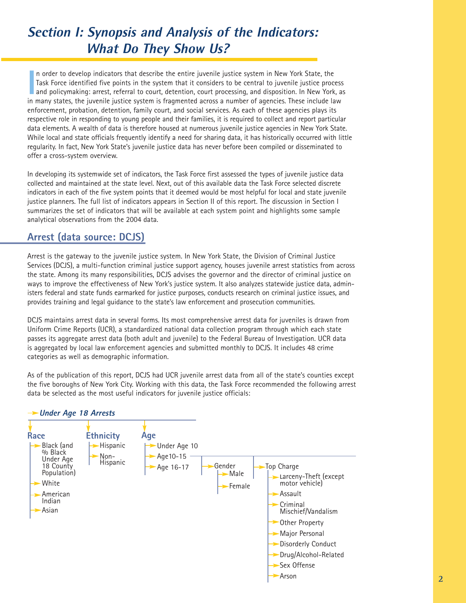## **Section I: Synopsis and Analysis of the Indicators: What Do They Show Us?**

In order to develop indicators that describe the entire juvenile justice system in New York State, the Task Force identified five points in the system that it considers to be central to juvenile justice process and policym n order to develop indicators that describe the entire juvenile justice system in New York State, the Task Force identified five points in the system that it considers to be central to juvenile justice process and policymaking: arrest, referral to court, detention, court processing, and disposition. In New York, as enforcement, probation, detention, family court, and social services. As each of these agencies plays its respective role in responding to young people and their families, it is required to collect and report particular data elements. A wealth of data is therefore housed at numerous juvenile justice agencies in New York State. While local and state officials frequently identify a need for sharing data, it has historically occurred with little regularity. In fact, New York State's juvenile justice data has never before been compiled or disseminated to offer a cross-system overview.

In developing its systemwide set of indicators, the Task Force first assessed the types of juvenile justice data collected and maintained at the state level. Next, out of this available data the Task Force selected discrete indicators in each of the five system points that it deemed would be most helpful for local and state juvenile justice planners. The full list of indicators appears in Section II of this report. The discussion in Section I summarizes the set of indicators that will be available at each system point and highlights some sample analytical observations from the 2004 data.

### **Arrest (data source: DCJS)**

Arrest is the gateway to the juvenile justice system. In New York State, the Division of Criminal Justice Services (DCJS), a multi-function criminal justice support agency, houses juvenile arrest statistics from across the state. Among its many responsibilities, DCJS advises the governor and the director of criminal justice on ways to improve the effectiveness of New York's justice system. It also analyzes statewide justice data, administers federal and state funds earmarked for justice purposes, conducts research on criminal justice issues, and provides training and legal guidance to the state's law enforcement and prosecution communities.

DCJS maintains arrest data in several forms. Its most comprehensive arrest data for juveniles is drawn from Uniform Crime Reports (UCR), a standardized national data collection program through which each state passes its aggregate arrest data (both adult and juvenile) to the Federal Bureau of Investigation. UCR data is aggregated by local law enforcement agencies and submitted monthly to DCJS. It includes 48 crime categories as well as demographic information.

As of the publication of this report, DCJS had UCR juvenile arrest data from all of the state's counties except the five boroughs of New York City. Working with this data, the Task Force recommended the following arrest data be selected as the most useful indicators for juvenile justice officials:

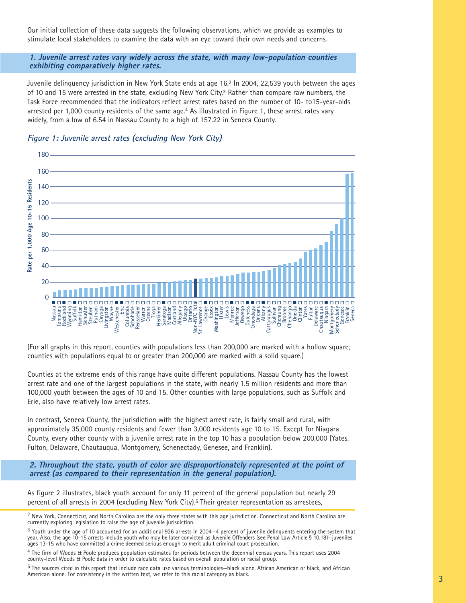Our initial collection of these data suggests the following observations, which we provide as examples to stimulate local stakeholders to examine the data with an eye toward their own needs and concerns.

**1. Juvenile arrest rates vary widely across the state, with many low-population counties exhibiting comparatively higher rates.** 

Juvenile delinquency jurisdiction in New York State ends at age 16.2 In 2004, 22,539 youth between the ages of 10 and 15 were arrested in the state, excluding New York City.3 Rather than compare raw numbers, the Task Force recommended that the indicators reflect arrest rates based on the number of 10- to15-year-olds arrested per 1,000 county residents of the same age.4 As illustrated in Figure 1, these arrest rates vary widely, from a low of 6.54 in Nassau County to a high of 157.22 in Seneca County.



### **Figure 1: Juvenile arrest rates (excluding New York City)**

(For all graphs in this report, counties with populations less than 200,000 are marked with a hollow square; counties with populations equal to or greater than 200,000 are marked with a solid square.)

Counties at the extreme ends of this range have quite different populations. Nassau County has the lowest arrest rate and one of the largest populations in the state, with nearly 1.5 million residents and more than 100,000 youth between the ages of 10 and 15. Other counties with large populations, such as Suffolk and Erie, also have relatively low arrest rates.

In contrast, Seneca County, the jurisdiction with the highest arrest rate, is fairly small and rural, with approximately 35,000 county residents and fewer than 3,000 residents age 10 to 15. Except for Niagara County, every other county with a juvenile arrest rate in the top 10 has a population below 200,000 (Yates, Fulton, Delaware, Chautauqua, Montgomery, Schenectady, Genesee, and Franklin).

**2. Throughout the state, youth of color are disproportionately represented at the point of arrest (as compared to their representation in the general population).** 

As figure 2 illustrates, black youth account for only 11 percent of the general population but nearly 29 percent of all arrests in 2004 (excluding New York City).5 Their greater representation as arrestees,

<sup>2</sup> New York, Connecticut, and North Carolina are the only three states with this age jurisdiction. Connecticut and North Carolina are currently exploring legislation to raise the age of juvenile jurisdiction.

3 Youth under the age of 10 accounted for an additional 926 arrests in 2004—4 percent of juvenile delinquents entering the system that year. Also, the age 10-15 arrests include youth who may be later convicted as Juvenile Offenders (see Penal Law Article § 10.18)—juveniles ages 13-15 who have committed a crime deemed serious enough to merit adult criminal court prosecution.

4 The firm of Woods & Poole produces population estimates for periods between the decennial census years. This report uses 2004 county-level Woods & Poole data in order to calculate rates based on overall population or racial group.

5 The sources cited in this report that include race data use various terminologies—black alone, African American or black, and African American alone. For consistency in the written text, we refer to this racial category as black.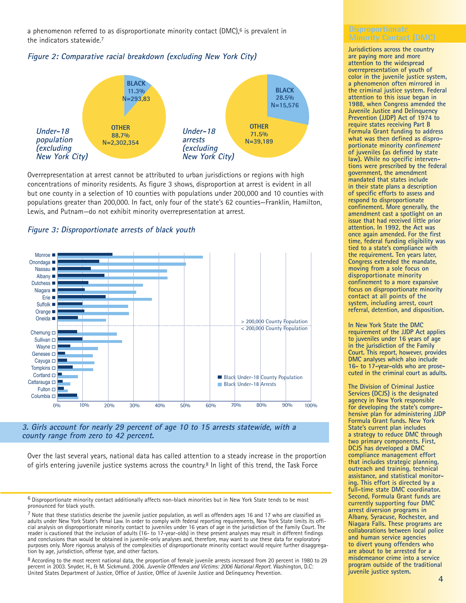a phenomenon referred to as disproportionate minority contact  $(DMC)$ ,  $6$  is prevalent in the indicators statewide.7





Overrepresentation at arrest cannot be attributed to urban jurisdictions or regions with high concentrations of minority residents. As figure 3 shows, disproportion at arrest is evident in all but one county in a selection of 10 counties with populations under 200,000 and 10 counties with populations greater than 200,000. In fact, only four of the state's 62 counties—Franklin, Hamilton, Lewis, and Putnam—do not exhibit minority overrepresentation at arrest.





#### **3. Girls account for nearly 29 percent of age 10 to 15 arrests statewide, with a county range from zero to 42 percent.**

Over the last several years, national data has called attention to a steady increase in the proportion of girls entering juvenile justice systems across the country. <sup>8</sup> In light of this trend, the Task Force

8 According to the most recent national data, the proportion of female juvenile arrests increased from 20 percent in 1980 to 29 percent in 2003. Snyder, H., & M. Sickmund. 2006. Juvenile Offenders and Victims: 2006 National Report. Washington, D.C: United States Department of Justice, Office of Justice, Office of Juvenile Justice and Delinquency Prevention.

#### **Disproportionate Minority Contact (DMC)**

**Jurisdictions across the country are paying more and more attention to the widespread overrepresentation of youth of color in the juvenile justice system, a phenomenon often mirrored in the criminal justice system. Federal attention to this issue began in 1988, when Congress amended the Juvenile Justice and Delinquency Prevention (JJDP) Act of 1974 to require states receiving Part B Formula Grant funding to address what was then defined as disproportionate minority confinement of juveniles (as defined by state law). While no specific interventions were prescribed by the federal government, the amendment mandated that states include in their state plans a description of specific efforts to assess and respond to disproportionate confinement. More generally, the amendment cast a spotlight on an issue that had received little prior attention. In 1992, the Act was once again amended. For the first time, federal funding eligibility was tied to a state's compliance with the requirement. Ten years later, Congress extended the mandate, moving from a sole focus on disproportionate minority confinement to a more expansive focus on disproportionate minority contact at all points of the system, including arrest, court referral, detention, and disposition.**

**In New York State the DMC requirement of the JJDP Act applies to juveniles under 16 years of age in the jurisdiction of the Family Court. This report, however, provides DMC analyses which also include 16- to 17-year-olds who are prosecuted in the criminal court as adults.**

**The Division of Criminal Justice Services (DCJS) is the designated agency in New York responsible for developing the state's comprehensive plan for administering JJDP Formula Grant funds. New York State's current plan includes a strategy to reduce DMC through two primary components. First, DCJS has developed a DMC compliance management effort that includes strategic planning, outreach and training, technical assistance, and statistical monitoring. This effort is directed by a full-time state DMC coordinator. Second, Formula Grant funds are currently supporting four DMC arrest diversion programs in Albany, Syracuse, Rochester, and Niagara Falls. These programs are collaborations between local police and human service agencies to divert young offenders who are about to be arrested for a misdemeanor crime into a service program outside of the traditional juvenile justice system.** 

<sup>6</sup> Disproportionate minority contact additionally affects non-black minorities but in New York State tends to be most pronounced for black youth.

 $7$  Note that these statistics describe the juvenile justice population, as well as offenders ages 16 and 17 who are classified as adults under New York State's Penal Law. In order to comply with federal reporting requirements, New York State limits its official analysis on disproportionate minority contact to juveniles under 16 years of age in the jurisdiction of the Family Court. The reader is cautioned that the inclusion of adults (16- to 17-year-olds) in these present analyses may result in different findings and conclusions than would be obtained in juvenile-only analyses and, therefore, may want to use these data for exploratory purposes only. More rigorous analysis of the complexities of disproportionate minority contact would require further disaggregation by age, jurisdiction, offense type, and other factors.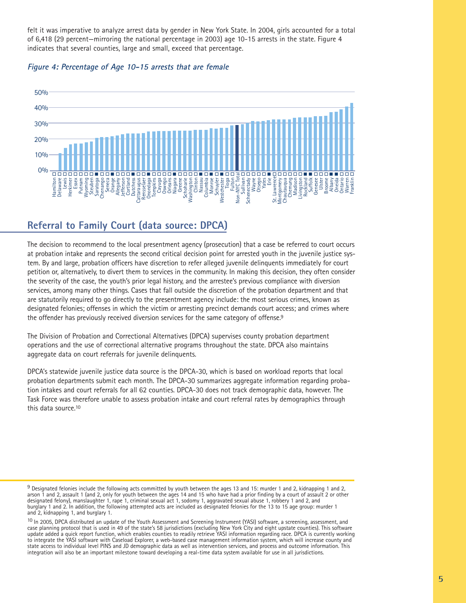felt it was imperative to analyze arrest data by gender in New York State. In 2004, girls accounted for a total of 6,418 (29 percent—mirroring the national percentage in 2003) age 10-15 arrests in the state. Figure 4 indicates that several counties, large and small, exceed that percentage.





### **Referral to Family Court (data source: DPCA)**

The decision to recommend to the local presentment agency (prosecution) that a case be referred to court occurs at probation intake and represents the second critical decision point for arrested youth in the juvenile justice system. By and large, probation officers have discretion to refer alleged juvenile delinquents immediately for court petition or, alternatively, to divert them to services in the community. In making this decision, they often consider the severity of the case, the youth's prior legal history, and the arrestee's previous compliance with diversion services, among many other things. Cases that fall outside the discretion of the probation department and that are statutorily required to go directly to the presentment agency include: the most serious crimes, known as designated felonies; offenses in which the victim or arresting precinct demands court access; and crimes where the offender has previously received diversion services for the same category of offense.<sup>9</sup>

The Division of Probation and Correctional Alternatives (DPCA) supervises county probation department operations and the use of correctional alternative programs throughout the state. DPCA also maintains aggregate data on court referrals for juvenile delinquents.

DPCA's statewide juvenile justice data source is the DPCA-30, which is based on workload reports that local probation departments submit each month. The DPCA-30 summarizes aggregate information regarding probation intakes and court referrals for all 62 counties. DPCA-30 does not track demographic data, however. The Task Force was therefore unable to assess probation intake and court referral rates by demographics through this data source.10

10 In 2005, DPCA distributed an update of the Youth Assessment and Screening Instrument (YASI) software, a screening, assessment, and case planning protocol that is used in 49 of the state's 58 jurisdictions (excluding New York City and eight upstate counties). This software update added a quick report function, which enables counties to readily retrieve YASI information regarding race. DPCA is currently working to integrate the YASI software with Caseload Explorer, a web-based case management information system, which will increase county and state access to individual level PINS and JD demographic data as well as intervention services, and process and outcome information. This integration will also be an important milestone toward developing a real-time data system available for use in all jurisdictions.

<sup>9</sup> Designated felonies include the following acts committed by youth between the ages 13 and 15: murder 1 and 2, kidnapping 1 and 2, arson 1 and 2, assault 1 (and 2, only for youth between the ages 14 and 15 who have had a prior finding by a court of assault 2 or other designated felony), manslaughter 1, rape 1, criminal sexual act 1, sodomy 1, aggravated sexual abuse 1, robbery 1 and 2, and burglary 1 and 2. In addition, the following attempted acts are included as designated felonies for the 13 to 15 age group: murder 1 and 2, kidnapping 1, and burglary 1.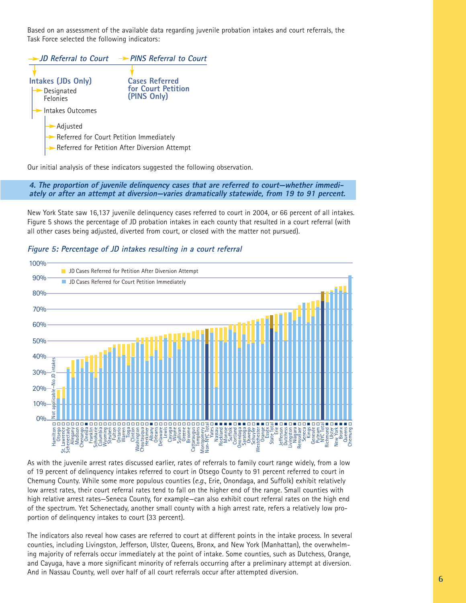Based on an assessment of the available data regarding juvenile probation intakes and court referrals, the Task Force selected the following indicators:

|                    | > JD Referral to Court > PINS Referral to Court |
|--------------------|-------------------------------------------------|
| Intakes (JDs Only) | <b>Cases Referred</b>                           |
| Designated         | for Court Petition                              |
| Felonies           | (PINS Only)                                     |
| Intakes Outcomes   | Referred for Court Petition Immediately         |
| Adjusted           | Referred for Petition After Diversion Attempt   |

Our initial analysis of these indicators suggested the following observation.

**4. The proportion of juvenile delinquency cases that are referred to court—whether immediately or after an attempt at diversion—varies dramatically statewide, from 19 to 91 percent.**

New York State saw 16,137 juvenile delinquency cases referred to court in 2004, or 66 percent of all intakes. Figure 5 shows the percentage of JD probation intakes in each county that resulted in a court referral (with all other cases being adjusted, diverted from court, or closed with the matter not pursued).



#### **Figure 5: Percentage of JD intakes resulting in a court referral**

As with the juvenile arrest rates discussed earlier, rates of referrals to family court range widely, from a low of 19 percent of delinquency intakes referred to court in Otsego County to 91 percent referred to court in Chemung County. While some more populous counties (e.g., Erie, Onondaga, and Suffolk) exhibit relatively low arrest rates, their court referral rates tend to fall on the higher end of the range. Small counties with high relative arrest rates—Seneca County, for example—can also exhibit court referral rates on the high end of the spectrum. Yet Schenectady, another small county with a high arrest rate, refers a relatively low proportion of delinquency intakes to court (33 percent).

The indicators also reveal how cases are referred to court at different points in the intake process. In several counties, including Livingston, Jefferson, Ulster, Queens, Bronx, and New York (Manhattan), the overwhelming majority of referrals occur immediately at the point of intake. Some counties, such as Dutchess, Orange, and Cayuga, have a more significant minority of referrals occurring after a preliminary attempt at diversion. And in Nassau County, well over half of all court referrals occur after attempted diversion. **<sup>6</sup>**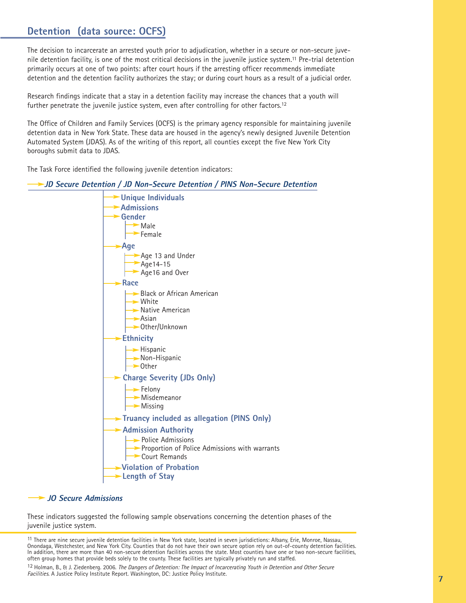### **Detention (data source: OCFS)**

The decision to incarcerate an arrested youth prior to adjudication, whether in a secure or non-secure juvenile detention facility, is one of the most critical decisions in the juvenile justice system.11 Pre-trial detention primarily occurs at one of two points: after court hours if the arresting officer recommends immediate detention and the detention facility authorizes the stay; or during court hours as a result of a judicial order.

Research findings indicate that a stay in a detention facility may increase the chances that a youth will further penetrate the juvenile justice system, even after controlling for other factors.<sup>12</sup>

The Office of Children and Family Services (OCFS) is the primary agency responsible for maintaining juvenile detention data in New York State. These data are housed in the agency's newly designed Juvenile Detention Automated System (JDAS). As of the writing of this report, all counties except the five New York City boroughs submit data to JDAS.

The Task Force identified the following juvenile detention indicators:

### **JD Secure Detention / JD Non-Secure Detention / PINS Non-Secure Detention**



#### **JO Secure Admissions**

These indicators suggested the following sample observations concerning the detention phases of the juvenile justice system.

11 There are nine secure juvenile detention facilities in New York state, located in seven jurisdictions: Albany, Erie, Monroe, Nassau, Onondaga, Westchester, and New York City. Counties that do not have their own secure option rely on out-of-county detention facilities. In addition, there are more than 40 non-secure detention facilities across the state. Most counties have one or two non-secure facilities, often group homes that provide beds solely to the county. These facilities are typically privately run and staffed.

12 Holman, B., & J. Ziedenberg. 2006. The Dangers of Detention: The Impact of Incarcerating Youth in Detention and Other Secure Facilities. A Justice Policy Institute Report. Washington, DC: Justice Policy Institute.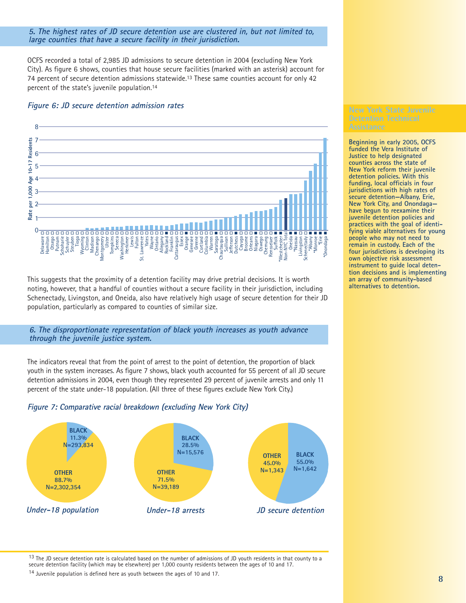#### **5. The highest rates of JD secure detention use are clustered in, but not limited to, large counties that have a secure facility in their jurisdiction.**

OCFS recorded a total of 2,985 JD admissions to secure detention in 2004 (excluding New York City). As figure 6 shows, counties that house secure facilities (marked with an asterisk) account for 74 percent of secure detention admissions statewide.13 These same counties account for only 42 percent of the state's juvenile population.14

#### **Figure 6: JD secure detention admission rates**



This suggests that the proximity of a detention facility may drive pretrial decisions. It is worth noting, however, that a handful of counties without a secure facility in their jurisdiction, including Schenectady, Livingston, and Oneida, also have relatively high usage of secure detention for their JD population, particularly as compared to counties of similar size.

**6. The disproportionate representation of black youth increases as youth advance through the juvenile justice system.** 

The indicators reveal that from the point of arrest to the point of detention, the proportion of black youth in the system increases. As figure 7 shows, black youth accounted for 55 percent of all JD secure detention admissions in 2004, even though they represented 29 percent of juvenile arrests and only 11 percent of the state under-18 population. (All three of these figures exclude New York City.)





13 The JD secure detention rate is calculated based on the number of admissions of JD youth residents in that county to a secure detention facility (which may be elsewhere) per 1,000 county residents between the ages of 10 and 17.

14 Juvenile population is defined here as youth between the ages of 10 and 17.

#### **New York State Juvenile Detention Technical Assistance**

**Beginning in early 2005, OCFS funded the Vera Institute of Justice to help designated counties across the state of New York reform their juvenile detention policies. With this funding, local officials in four jurisdictions with high rates of secure detention—Albany, Erie, New York City, and Onondaga have begun to reexamine their juvenile detention policies and practices with the goal of identifying viable alternatives for young people who may not need to remain in custody. Each of the four jurisdictions is developing its own objective risk assessment instrument to guide local detention decisions and is implementing an array of community-based alternatives to detention.**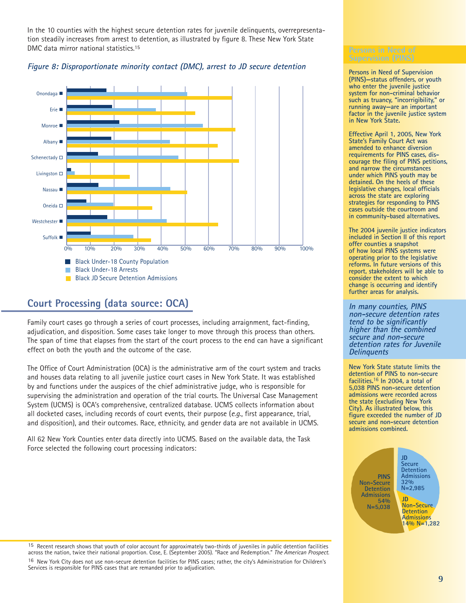In the 10 counties with the highest secure detention rates for juvenile delinquents, overrepresentation steadily increases from arrest to detention, as illustrated by figure 8. These New York State DMC data mirror national statistics.15



### **Figure 8: Disproportionate minority contact (DMC), arrest to JD secure detention**

### **Court Processing (data source: OCA)**

PINS Non-Secure

Family court cases go through a series of court processes, including arraignment, fact-finding, adjudication, and disposition. Some cases take longer to move through this process than others. The span of time that elapses from the start of the court process to the end can have a significant effect on both the youth and the outcome of the case.

The Office of Court Administration (OCA) is the administrative arm of the court system and tracks and houses data relating to all juvenile justice court cases in New York State. It was established by and functions under the auspices of the chief administrative judge, who is responsible for supervising the administration and operation of the trial courts. The Universal Case Management System (UCMS) is OCA's comprehensive, centralized database. UCMS collects information about all docketed cases, including records of court events, their purpose  $(e.g.,$  first appearance, trial, and disposition), and their outcomes. Race, ethnicity, and gender data are not available in UCMS.

All 62 New York Counties enter data directly into UCMS. Based on the available data, the Task Force selected the following court processing indicators:

**Persons in Need of Supervision (PINS)** 

**Persons in Need of Supervision (PINS)—status offenders, or youth who enter the juvenile justice system for non-criminal behavior such as truancy, "incorrigibility," or running away—are an important factor in the juvenile justice system in New York State.**

**Effective April 1, 2005, New York State's Family Court Act was amended to enhance diversion requirements for PINS cases, discourage the filing of PINS petitions, and narrow the circumstances under which PINS youth may be detained. On the heels of these legislative changes, local officials across the state are exploring strategies for responding to PINS cases outside the courtroom and in community-based alternatives.** 

**The 2004 juvenile justice indicators included in Section II of this report offer counties a snapshot of how local PINS systems were operating prior to the legislative reforms. In future versions of this report, stakeholders will be able to consider the extent to which change is occurring and identify further areas for analysis.** 

**In many counties, PINS non-secure detention rates tend to be significantly higher than the combined secure and non-secure detention rates for Juvenile Delinquents** 

**New York State statute limits the detention of PINS to non-secure facilities.**16 **In 2004, a total of 5,038 PINS non-secure detention admissions were recorded across the state (excluding New York City). As illustrated below, this figure exceeded the number of JD secure and non-secure detention admissions combined.** 

> **PINS Non-Secure Detention Admissions 54% N=5,038 JD Secure JD**

**Detention Admissions 32% N=2,985 Non-Secure Detention Admissions 14% N=1,282**

<sup>15</sup> Recent research shows that youth of color account for approximately two-thirds of juveniles in public detention facilities<br>across the nation, twice their national proportion. Cose, E. (September 2005). "Race and Redem across the nation, twice their national proportion. Cose, E. (September 2005). "Race and Redemption." The American Prospect.

16 New York City does not use non-secure detention facilities for PINS cases; rather, the city's Administration for Children's Services is responsible for PINS cases that are remanded prior to adjudication.<br>.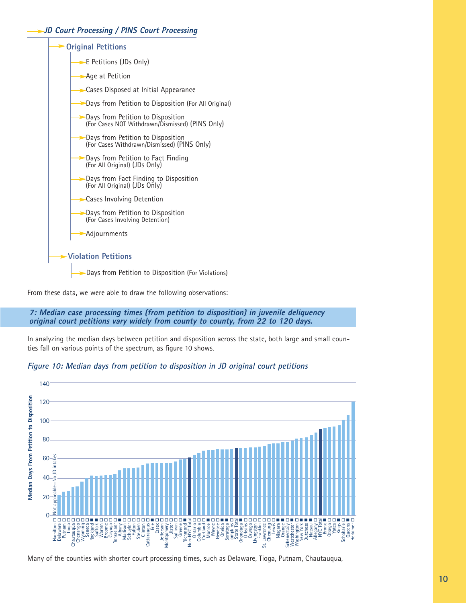

From these data, we were able to draw the following observations:

**7: Median case processing times (from petition to disposition) in juvenile deliquency original court petitions vary widely from county to county, from 22 to 120 days.**

In analyzing the median days between petition and disposition across the state, both large and small counties fall on various points of the spectrum, as figure 10 shows.





Many of the counties with shorter court processing times, such as Delaware, Tioga, Putnam, Chautauqua,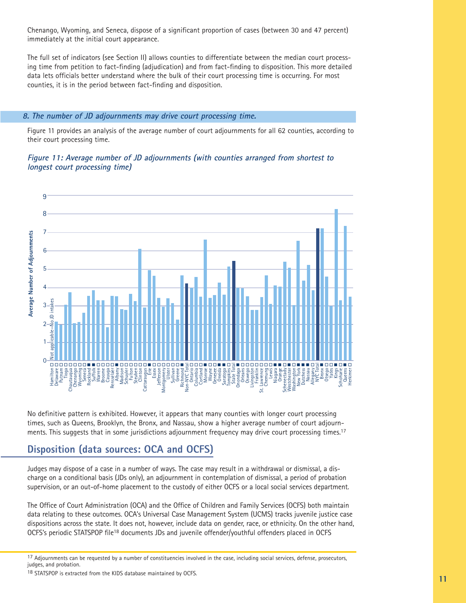Chenango, Wyoming, and Seneca, dispose of a significant proportion of cases (between 30 and 47 percent) immediately at the initial court appearance.

The full set of indicators (see Section II) allows counties to differentiate between the median court processing time from petition to fact-finding (adjudication) and from fact-finding to disposition. This more detailed data lets officials better understand where the bulk of their court processing time is occurring. For most counties, it is in the period between fact-finding and disposition.

#### **8. The number of JD adjournments may drive court processing time.**

Figure 11 provides an analysis of the average number of court adjournments for all 62 counties, according to their court processing time.

#### **Figure 11: Average number of JD adjournments (with counties arranged from shortest to longest court processing time)**



No definitive pattern is exhibited. However, it appears that many counties with longer court processing times, such as Queens, Brooklyn, the Bronx, and Nassau, show a higher average number of court adjournments. This suggests that in some jurisdictions adjournment frequency may drive court processing times.17

### **Disposition (data sources: OCA and OCFS)**

Judges may dispose of a case in a number of ways. The case may result in a withdrawal or dismissal, a discharge on a conditional basis (JDs only), an adjournment in contemplation of dismissal, a period of probation supervision, or an out-of-home placement to the custody of either OCFS or a local social services department.

The Office of Court Administration (OCA) and the Office of Children and Family Services (OCFS) both maintain data relating to these outcomes. OCA's Universal Case Management System (UCMS) tracks juvenile justice case dispositions across the state. It does not, however, include data on gender, race, or ethnicity. On the other hand, OCFS's periodic STATSPOP file18 documents JDs and juvenile offender/youthful offenders placed in OCFS

<sup>&</sup>lt;sup>17</sup> Adjournments can be requested by a number of constituencies involved in the case, including social services, defense, prosecutors, judges, and probation.

<sup>18</sup> STATSPOP is extracted from the KIDS database maintained by OCFS.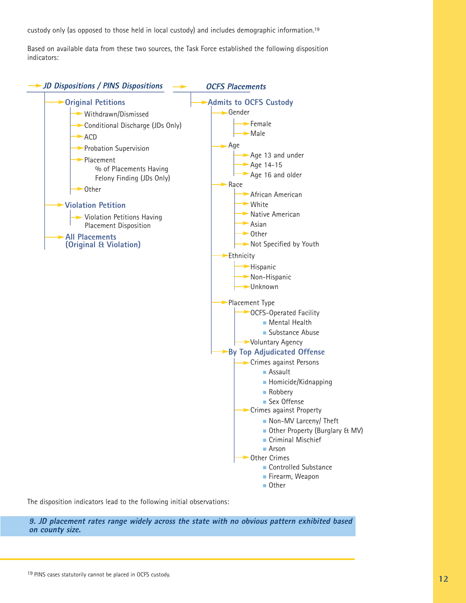custody only (as opposed to those held in local custody) and includes demographic information.19

Based on available data from these two sources, the Task Force established the following disposition indicators:



The disposition indicators lead to the following initial observations:

**9. JD placement rates range widely across the state with no obvious pattern exhibited based on county size.**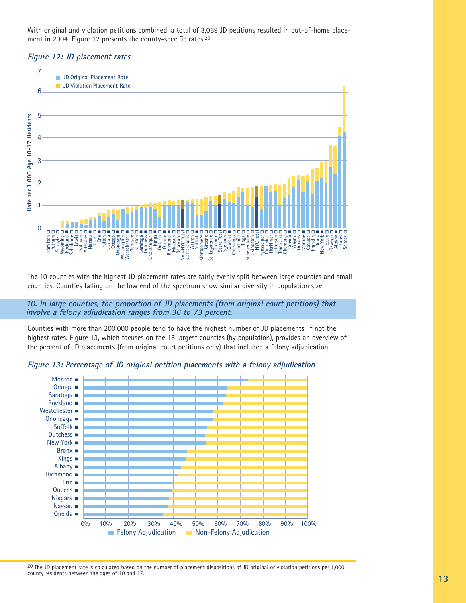With original and violation petitions combined, a total of 3,059 JD petitions resulted in out-of-home placement in 2004. Figure 12 presents the county-specific rates.20

### **Figure 12: JD placement rates**



The 10 counties with the highest JD placement rates are fairly evenly split between large counties and small counties. Counties falling on the low end of the spectrum show similar diversity in population size.

**10. In large counties, the proportion of JD placements (from original court petitions) that involve a felony adjudication ranges from 36 to 73 percent.** 

Counties with more than 200,000 people tend to have the highest number of JD placements, if not the highest rates. Figure 13, which focuses on the 18 largest counties (by population), provides an overview of the percent of JD placements (from original court petitions only) that included a felony adjudication.





 $^{20}$  The JD placement rate is calculated based on the number of placement dispositions of JD original or violation petitions per 1,000 county residents between the ages of 10 and 17.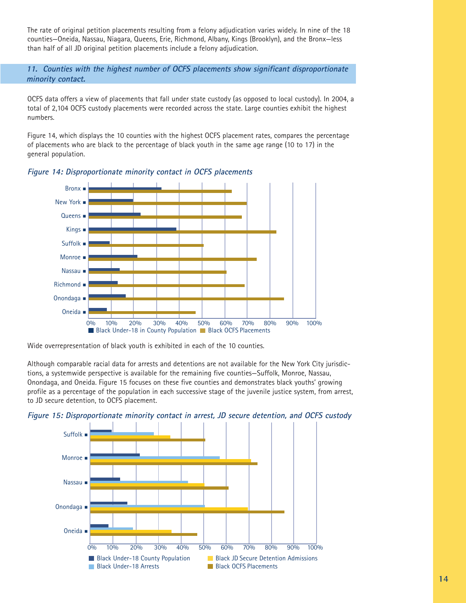The rate of original petition placements resulting from a felony adjudication varies widely. In nine of the 18 counties—Oneida, Nassau, Niagara, Queens, Erie, Richmond, Albany, Kings (Brooklyn), and the Bronx—less than half of all JD original petition placements include a felony adjudication.

**11. Counties with the highest number of OCFS placements show significant disproportionate minority contact.** 

OCFS data offers a view of placements that fall under state custody (as opposed to local custody). In 2004, a total of 2,104 OCFS custody placements were recorded across the state. Large counties exhibit the highest numbers.

Figure 14, which displays the 10 counties with the highest OCFS placement rates, compares the percentage of placements who are black to the percentage of black youth in the same age range (10 to 17) in the general population.





Wide overrepresentation of black youth is exhibited in each of the 10 counties.

Although comparable racial data for arrests and detentions are not available for the New York City jurisdictions, a systemwide perspective is available for the remaining five counties—Suffolk, Monroe, Nassau, Onondaga, and Oneida. Figure 15 focuses on these five counties and demonstrates black youths' growing profile as a percentage of the population in each successive stage of the juvenile justice system, from arrest, to JD secure detention, to OCFS placement.



**Figure 15: Disproportionate minority contact in arrest, JD secure detention, and OCFS custody**